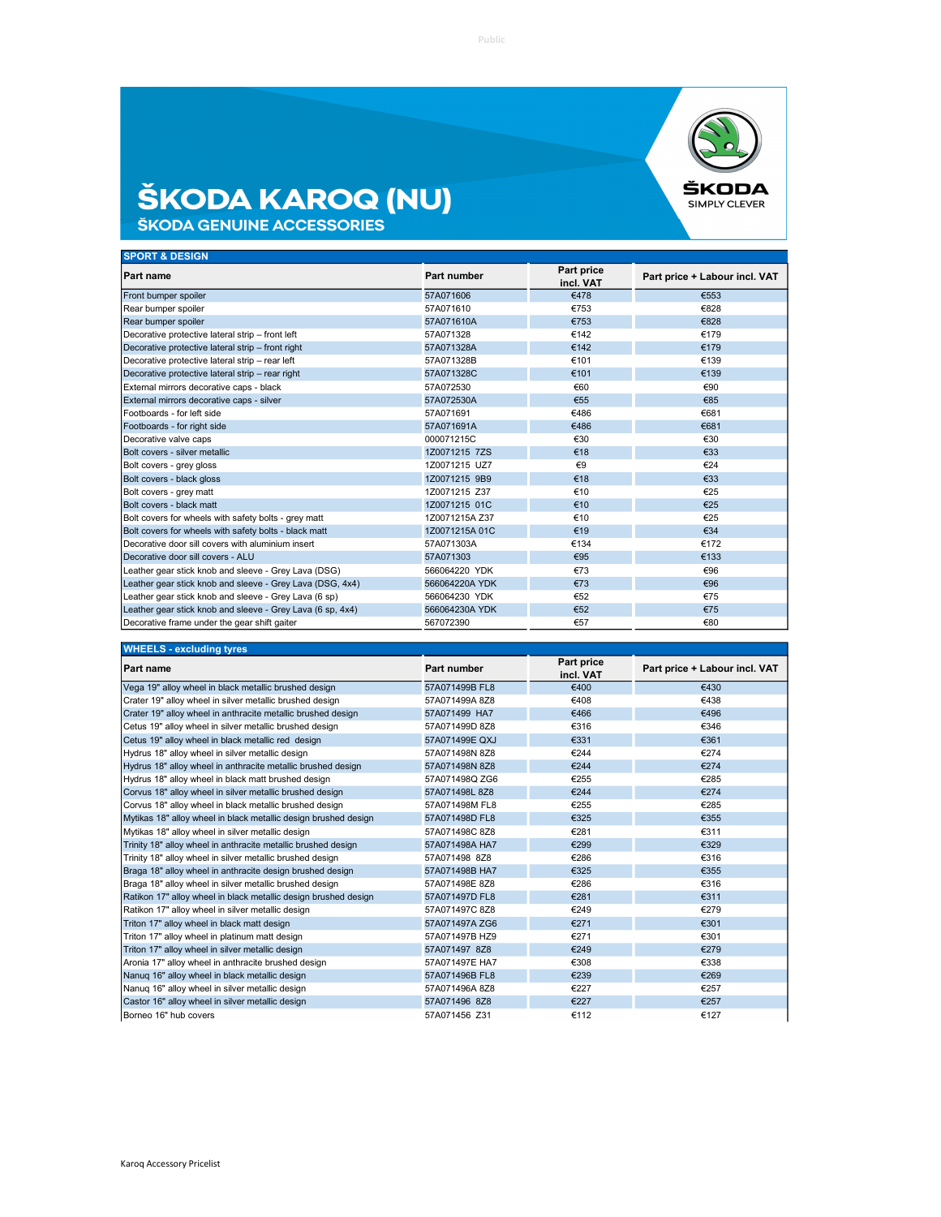

## **ŠKODA KAROQ (NU)**<br>ŠKODA GENUINE ACCESSORIES

| Part price<br>Part number<br>Part price + Labour incl. VAT<br>incl. VAT<br>57A071606<br>€478<br>€553<br>€828<br>57A071610<br>€753<br>€753<br>€828<br>57A071610A<br>57A071328<br>€142<br>€179<br>€142<br>€179<br>57A071328A<br>€101<br>€139<br>57A071328B<br>€101<br>€139<br>57A071328C<br>€60<br>€90<br>57A072530<br>€85<br>€55<br>57A072530A<br>€486<br>€681<br>57A071691<br>€486<br>€681<br>57A071691A<br>€30<br>€30<br>000071215C<br>€18<br>€33<br>1Z0071215 7ZS<br>€24<br>1Z0071215 UZ7<br>$\epsilon$ 9<br>€18<br>1Z0071215 9B9<br>€33<br>1Z0071215 Z37<br>€10<br>€25<br>€10<br>€25<br>1Z0071215 01C<br>1Z0071215A Z37<br>€10<br>€25<br>€34<br>€19<br>1Z0071215A 01C<br>€134<br>€172<br>57A071303A<br>€95<br>€133<br>57A071303<br>566064220 YDK<br>€73<br>€96<br>566064220A YDK<br>€73<br>€96<br>€52<br>€75<br>566064230 YDK<br>€52<br>566064230A YDK<br>€75<br>€80<br>€57<br>567072390 | <b>SPORT &amp; DESIGN</b>                                  |  |  |
|---------------------------------------------------------------------------------------------------------------------------------------------------------------------------------------------------------------------------------------------------------------------------------------------------------------------------------------------------------------------------------------------------------------------------------------------------------------------------------------------------------------------------------------------------------------------------------------------------------------------------------------------------------------------------------------------------------------------------------------------------------------------------------------------------------------------------------------------------------------------------------------------|------------------------------------------------------------|--|--|
|                                                                                                                                                                                                                                                                                                                                                                                                                                                                                                                                                                                                                                                                                                                                                                                                                                                                                             | <b>Part name</b>                                           |  |  |
|                                                                                                                                                                                                                                                                                                                                                                                                                                                                                                                                                                                                                                                                                                                                                                                                                                                                                             | Front bumper spoiler                                       |  |  |
|                                                                                                                                                                                                                                                                                                                                                                                                                                                                                                                                                                                                                                                                                                                                                                                                                                                                                             | Rear bumper spoiler                                        |  |  |
|                                                                                                                                                                                                                                                                                                                                                                                                                                                                                                                                                                                                                                                                                                                                                                                                                                                                                             | Rear bumper spoiler                                        |  |  |
|                                                                                                                                                                                                                                                                                                                                                                                                                                                                                                                                                                                                                                                                                                                                                                                                                                                                                             | Decorative protective lateral strip - front left           |  |  |
|                                                                                                                                                                                                                                                                                                                                                                                                                                                                                                                                                                                                                                                                                                                                                                                                                                                                                             | Decorative protective lateral strip - front right          |  |  |
|                                                                                                                                                                                                                                                                                                                                                                                                                                                                                                                                                                                                                                                                                                                                                                                                                                                                                             | Decorative protective lateral strip - rear left            |  |  |
|                                                                                                                                                                                                                                                                                                                                                                                                                                                                                                                                                                                                                                                                                                                                                                                                                                                                                             | Decorative protective lateral strip - rear right           |  |  |
|                                                                                                                                                                                                                                                                                                                                                                                                                                                                                                                                                                                                                                                                                                                                                                                                                                                                                             | External mirrors decorative caps - black                   |  |  |
|                                                                                                                                                                                                                                                                                                                                                                                                                                                                                                                                                                                                                                                                                                                                                                                                                                                                                             | External mirrors decorative caps - silver                  |  |  |
|                                                                                                                                                                                                                                                                                                                                                                                                                                                                                                                                                                                                                                                                                                                                                                                                                                                                                             | Footboards - for left side                                 |  |  |
|                                                                                                                                                                                                                                                                                                                                                                                                                                                                                                                                                                                                                                                                                                                                                                                                                                                                                             | Footboards - for right side                                |  |  |
|                                                                                                                                                                                                                                                                                                                                                                                                                                                                                                                                                                                                                                                                                                                                                                                                                                                                                             | Decorative valve caps                                      |  |  |
|                                                                                                                                                                                                                                                                                                                                                                                                                                                                                                                                                                                                                                                                                                                                                                                                                                                                                             | Bolt covers - silver metallic                              |  |  |
|                                                                                                                                                                                                                                                                                                                                                                                                                                                                                                                                                                                                                                                                                                                                                                                                                                                                                             | Bolt covers - grey gloss                                   |  |  |
|                                                                                                                                                                                                                                                                                                                                                                                                                                                                                                                                                                                                                                                                                                                                                                                                                                                                                             | Bolt covers - black gloss                                  |  |  |
|                                                                                                                                                                                                                                                                                                                                                                                                                                                                                                                                                                                                                                                                                                                                                                                                                                                                                             | Bolt covers - grey matt                                    |  |  |
|                                                                                                                                                                                                                                                                                                                                                                                                                                                                                                                                                                                                                                                                                                                                                                                                                                                                                             | Bolt covers - black matt                                   |  |  |
|                                                                                                                                                                                                                                                                                                                                                                                                                                                                                                                                                                                                                                                                                                                                                                                                                                                                                             | Bolt covers for wheels with safety bolts - grey matt       |  |  |
|                                                                                                                                                                                                                                                                                                                                                                                                                                                                                                                                                                                                                                                                                                                                                                                                                                                                                             | Bolt covers for wheels with safety bolts - black matt      |  |  |
|                                                                                                                                                                                                                                                                                                                                                                                                                                                                                                                                                                                                                                                                                                                                                                                                                                                                                             | Decorative door sill covers with aluminium insert          |  |  |
|                                                                                                                                                                                                                                                                                                                                                                                                                                                                                                                                                                                                                                                                                                                                                                                                                                                                                             | Decorative door sill covers - ALU                          |  |  |
|                                                                                                                                                                                                                                                                                                                                                                                                                                                                                                                                                                                                                                                                                                                                                                                                                                                                                             | Leather gear stick knob and sleeve - Grey Lava (DSG)       |  |  |
|                                                                                                                                                                                                                                                                                                                                                                                                                                                                                                                                                                                                                                                                                                                                                                                                                                                                                             | Leather gear stick knob and sleeve - Grey Lava (DSG, 4x4)  |  |  |
|                                                                                                                                                                                                                                                                                                                                                                                                                                                                                                                                                                                                                                                                                                                                                                                                                                                                                             | Leather gear stick knob and sleeve - Grey Lava (6 sp)      |  |  |
|                                                                                                                                                                                                                                                                                                                                                                                                                                                                                                                                                                                                                                                                                                                                                                                                                                                                                             | Leather gear stick knob and sleeve - Grey Lava (6 sp, 4x4) |  |  |
|                                                                                                                                                                                                                                                                                                                                                                                                                                                                                                                                                                                                                                                                                                                                                                                                                                                                                             | Decorative frame under the gear shift gaiter               |  |  |

| <b>WHEELS - excluding tyres</b>                                 |                |                         |                               |
|-----------------------------------------------------------------|----------------|-------------------------|-------------------------------|
| Part name                                                       | Part number    | Part price<br>incl. VAT | Part price + Labour incl. VAT |
| Vega 19" alloy wheel in black metallic brushed design           | 57A071499B FL8 | €400                    | €430                          |
| Crater 19" alloy wheel in silver metallic brushed design        | 57A071499A 8Z8 | €408                    | €438                          |
| Crater 19" alloy wheel in anthracite metallic brushed design    | 57A071499 HA7  | €466                    | €496                          |
| Cetus 19" alloy wheel in silver metallic brushed design         | 57A071499D 8Z8 | €316                    | €346                          |
| Cetus 19" alloy wheel in black metallic red design              | 57A071499E QXJ | €331                    | €361                          |
| Hydrus 18" alloy wheel in silver metallic design                | 57A071498N 8Z8 | €244                    | €274                          |
| Hydrus 18" alloy wheel in anthracite metallic brushed design    | 57A071498N 8Z8 | €244                    | €274                          |
| Hydrus 18" alloy wheel in black matt brushed design             | 57A071498Q ZG6 | €255                    | €285                          |
| Corvus 18" alloy wheel in silver metallic brushed design        | 57A071498L8Z8  | €244                    | €274                          |
| Corvus 18" alloy wheel in black metallic brushed design         | 57A071498M FL8 | €255                    | €285                          |
| Mytikas 18" alloy wheel in black metallic design brushed design | 57A071498D FL8 | €325                    | €355                          |
| Mytikas 18" alloy wheel in silver metallic design               | 57A071498C 8Z8 | €281                    | €311                          |
| Trinity 18" alloy wheel in anthracite metallic brushed design   | 57A071498A HA7 | €299                    | €329                          |
| Trinity 18" alloy wheel in silver metallic brushed design       | 57A071498 8Z8  | €286                    | €316                          |
| Braga 18" alloy wheel in anthracite design brushed design       | 57A071498B HA7 | €325                    | €355                          |
| Braga 18" alloy wheel in silver metallic brushed design         | 57A071498E 8Z8 | €286                    | €316                          |
| Ratikon 17" alloy wheel in black metallic design brushed design | 57A071497D FL8 | €281                    | €311                          |
| Ratikon 17" alloy wheel in silver metallic design               | 57A071497C 8Z8 | €249                    | €279                          |
| Triton 17" alloy wheel in black matt design                     | 57A071497A ZG6 | €271                    | €301                          |
| Triton 17" alloy wheel in platinum matt design                  | 57A071497B HZ9 | €271                    | €301                          |
| Triton 17" alloy wheel in silver metallic design                | 57A071497 8Z8  | €249                    | €279                          |
| Aronia 17" alloy wheel in anthracite brushed design             | 57A071497E HA7 | €308                    | €338                          |
| Nanug 16" alloy wheel in black metallic design                  | 57A071496B FL8 | €239                    | €269                          |
| Nanuq 16" alloy wheel in silver metallic design                 | 57A071496A 8Z8 | €227                    | €257                          |
| Castor 16" alloy wheel in silver metallic design                | 57A071496 8Z8  | €227                    | €257                          |
| Borneo 16" hub covers                                           | 57A071456 Z31  | €112                    | €127                          |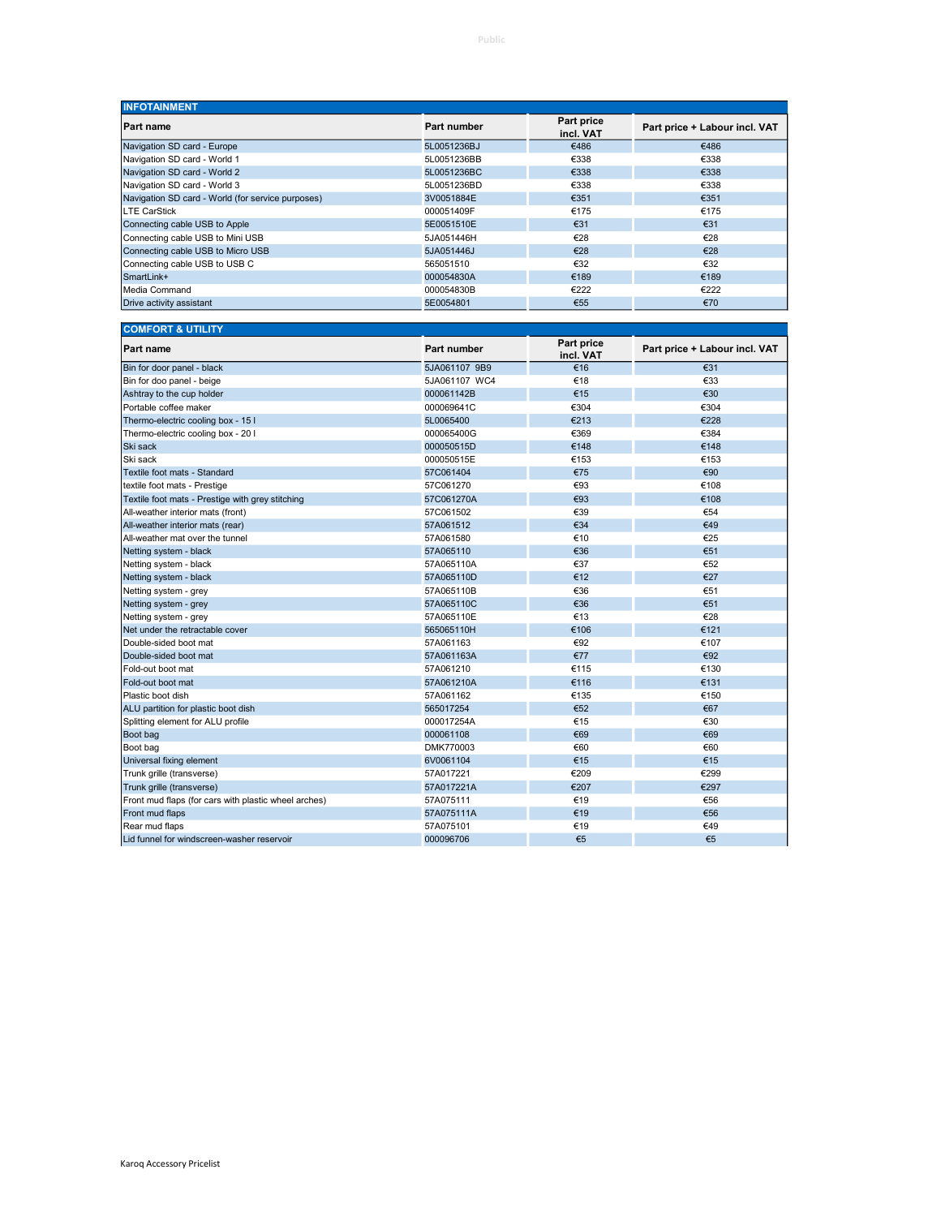| <b>INFOTAINMENT</b>                               |             |                         |                               |
|---------------------------------------------------|-------------|-------------------------|-------------------------------|
| Part name                                         | Part number | Part price<br>incl. VAT | Part price + Labour incl. VAT |
| Navigation SD card - Europe                       | 5L0051236BJ | €486                    | €486                          |
| Navigation SD card - World 1                      | 5L0051236BB | €338                    | €338                          |
| Navigation SD card - World 2                      | 5L0051236BC | €338                    | €338                          |
| Navigation SD card - World 3                      | 5L0051236BD | €338                    | €338                          |
| Navigation SD card - World (for service purposes) | 3V0051884E  | €351                    | €351                          |
| <b>LTE CarStick</b>                               | 000051409F  | €175                    | €175                          |
| Connecting cable USB to Apple                     | 5E0051510E  | €31                     | €31                           |
| Connecting cable USB to Mini USB                  | 5JA051446H  | €28                     | €28                           |
| Connecting cable USB to Micro USB                 | 5JA051446J  | €28                     | €28                           |
| Connecting cable USB to USB C                     | 565051510   | €32                     | €32                           |
| SmartLink+                                        | 000054830A  | €189                    | €189                          |
| Media Command                                     | 000054830B  | €222                    | €222                          |
| Drive activity assistant                          | 5E0054801   | €55                     | €70                           |

| <b>COMFORT &amp; UTILITY</b>                         |                    |                         |                               |  |
|------------------------------------------------------|--------------------|-------------------------|-------------------------------|--|
| Part name                                            | <b>Part number</b> | Part price<br>incl. VAT | Part price + Labour incl. VAT |  |
| Bin for door panel - black                           | 5JA061107 9B9      | €16                     | €31                           |  |
| Bin for doo panel - beige                            | 5JA061107 WC4      | €18                     | €33                           |  |
| Ashtray to the cup holder                            | 000061142B         | €15                     | €30                           |  |
| Portable coffee maker                                | 000069641C         | €304                    | €304                          |  |
| Thermo-electric cooling box - 15 I                   | 5L0065400          | €213                    | €228                          |  |
| Thermo-electric cooling box - 20 I                   | 000065400G         | €369                    | €384                          |  |
| Ski sack                                             | 000050515D         | €148                    | €148                          |  |
| Ski sack                                             | 000050515E         | €153                    | €153                          |  |
| Textile foot mats - Standard                         | 57C061404          | €75                     | €90                           |  |
| textile foot mats - Prestige                         | 57C061270          | €93                     | €108                          |  |
| Textile foot mats - Prestige with grey stitching     | 57C061270A         | €93                     | €108                          |  |
| All-weather interior mats (front)                    | 57C061502          | €39                     | €54                           |  |
| All-weather interior mats (rear)                     | 57A061512          | €34                     | €49                           |  |
| All-weather mat over the tunnel                      | 57A061580          | €10                     | €25                           |  |
| Netting system - black                               | 57A065110          | €36                     | €51                           |  |
| Netting system - black                               | 57A065110A         | €37                     | €52                           |  |
| Netting system - black                               | 57A065110D         | €12                     | €27                           |  |
| Netting system - grey                                | 57A065110B         | €36                     | €51                           |  |
| Netting system - grey                                | 57A065110C         | €36                     | €51                           |  |
| Netting system - grey                                | 57A065110E         | €13                     | €28                           |  |
| Net under the retractable cover                      | 565065110H         | €106                    | €121                          |  |
| Double-sided boot mat                                | 57A061163          | €92                     | €107                          |  |
| Double-sided boot mat                                | 57A061163A         | €77                     | €92                           |  |
| Fold-out boot mat                                    | 57A061210          | €115                    | €130                          |  |
| Fold-out boot mat                                    | 57A061210A         | €116                    | €131                          |  |
| Plastic boot dish                                    | 57A061162          | €135                    | €150                          |  |
| ALU partition for plastic boot dish                  | 565017254          | €52                     | €67                           |  |
| Splitting element for ALU profile                    | 000017254A         | €15                     | €30                           |  |
| Boot bag                                             | 000061108          | €69                     | €69                           |  |
| Boot bag                                             | DMK770003          | €60                     | €60                           |  |
| Universal fixing element                             | 6V0061104          | €15                     | €15                           |  |
| Trunk grille (transverse)                            | 57A017221          | €209                    | €299                          |  |
| Trunk grille (transverse)                            | 57A017221A         | €207                    | €297                          |  |
| Front mud flaps (for cars with plastic wheel arches) | 57A075111          | €19                     | €56                           |  |
| Front mud flaps                                      | 57A075111A         | €19                     | €56                           |  |
| Rear mud flaps                                       | 57A075101          | €19                     | €49                           |  |
| Lid funnel for windscreen-washer reservoir           | 000096706          | €5                      | €5                            |  |